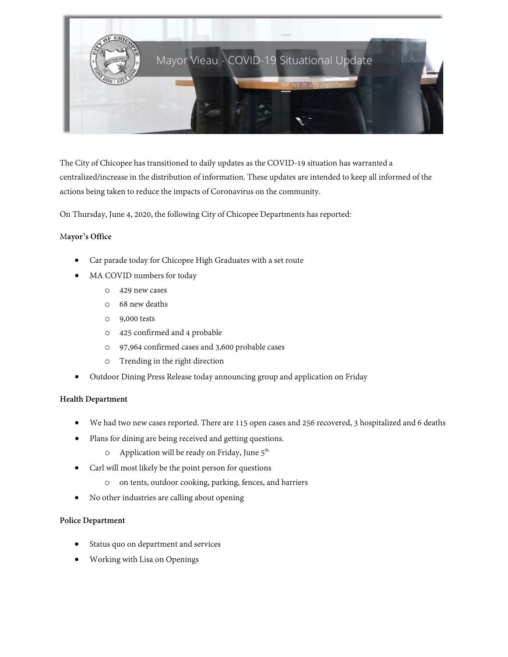

The City of Chicopee has transitioned to daily updates as the COVID-19 situation has warranted a centralized/increase in the distribution of information. These updates are intended to keep all informed of the actions being taken to reduce the impacts of Coronavirus on the community.

On Thursday, June 4, 2020, the following City of Chicopee Departments has reported:

## M**ayor's Office**

- Car parade today for Chicopee High Graduates with a set route
- MA COVID numbers for today
	- o 429 new cases
	- o 68 new deaths
	- o 9,000 tests
	- o 425 confirmed and 4 probable
	- o 97,964 confirmed cases and 3,600 probable cases
	- o Trending in the right direction
- Outdoor Dining Press Release today announcing group and application on Friday

#### **Health Department**

- We had two new cases reported. There are 115 open cases and 256 recovered, 3 hospitalized and 6 deaths
- Plans for dining are being received and getting questions.
	- o Application will be ready on Friday, June 5<sup>th</sup>
- Carl will most likely be the point person for questions
	- o on tents, outdoor cooking, parking, fences, and barriers
- No other industries are calling about opening

#### **Police Department**

- Status quo on department and services
- Working with Lisa on Openings